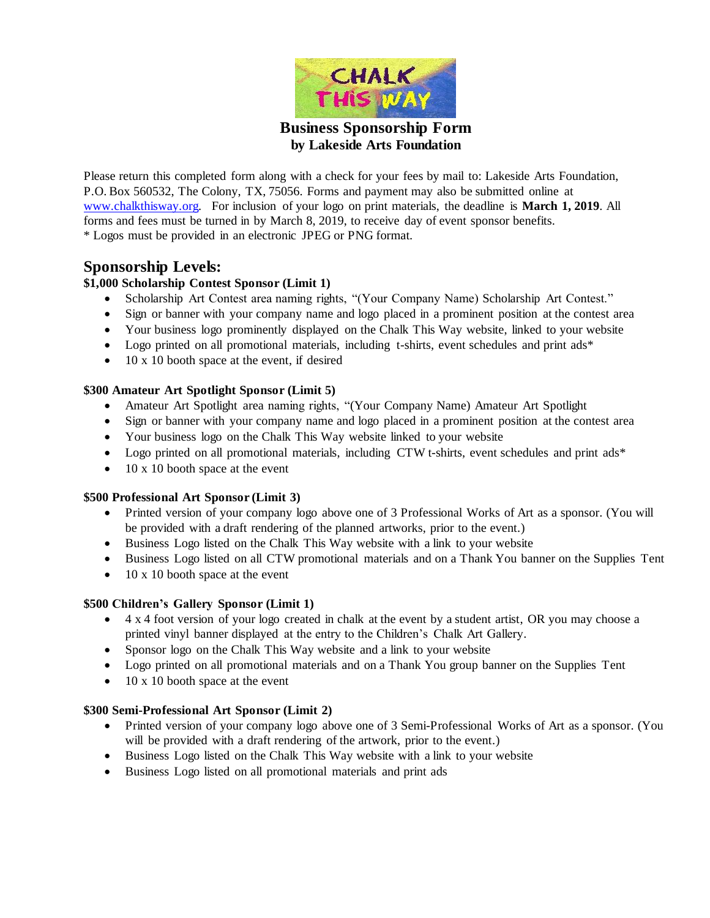

**by Lakeside Arts Foundation**

Please return this completed form along with a check for your fees by mail to: Lakeside Arts Foundation, P.O. Box 560532, The Colony, TX, 75056. Forms and payment may also be submitted online at [www.chalkthisway.org.](http://www.chalkthisway.org/) For inclusion of your logo on print materials, the deadline is **March 1, 2019**. All forms and fees must be turned in by March 8, 2019, to receive day of event sponsor benefits. \* Logos must be provided in an electronic JPEG or PNG format.

### **Sponsorship Levels:**

#### **\$1,000 Scholarship Contest Sponsor (Limit 1)**

- Scholarship Art Contest area naming rights, "(Your Company Name) Scholarship Art Contest."
- Sign or banner with your company name and logo placed in a prominent position at the contest area
- Your business logo prominently displayed on the Chalk This Way website, linked to your website
- Logo printed on all promotional materials, including t-shirts, event schedules and print ads\*
- $\bullet$  10 x 10 booth space at the event, if desired

#### **\$300 Amateur Art Spotlight Sponsor (Limit 5)**

- Amateur Art Spotlight area naming rights, "(Your Company Name) Amateur Art Spotlight
- Sign or banner with your company name and logo placed in a prominent position at the contest area
- Your business logo on the Chalk This Way website linked to your website
- Logo printed on all promotional materials, including CTW t-shirts, event schedules and print ads\*
- $\bullet$  10 x 10 booth space at the event

#### **\$500 Professional Art Sponsor (Limit 3)**

- Printed version of your company logo above one of 3 Professional Works of Art as a sponsor. (You will be provided with a draft rendering of the planned artworks, prior to the event.)
- Business Logo listed on the Chalk This Way website with a link to your website
- Business Logo listed on all CTW promotional materials and on a Thank You banner on the Supplies Tent
- $\bullet$  10 x 10 booth space at the event

#### **\$500 Children's Gallery Sponsor (Limit 1)**

- 4 x 4 foot version of your logo created in chalk at the event by a student artist, OR you may choose a printed vinyl banner displayed at the entry to the Children's Chalk Art Gallery.
- Sponsor logo on the Chalk This Way website and a link to your website
- Logo printed on all promotional materials and on a Thank You group banner on the Supplies Tent
- $\bullet$  10 x 10 booth space at the event

#### **\$300 Semi-Professional Art Sponsor (Limit 2)**

- Printed version of your company logo above one of 3 Semi-Professional Works of Art as a sponsor. (You will be provided with a draft rendering of the artwork, prior to the event.)
- Business Logo listed on the Chalk This Way website with a link to your website
- Business Logo listed on all promotional materials and print ads